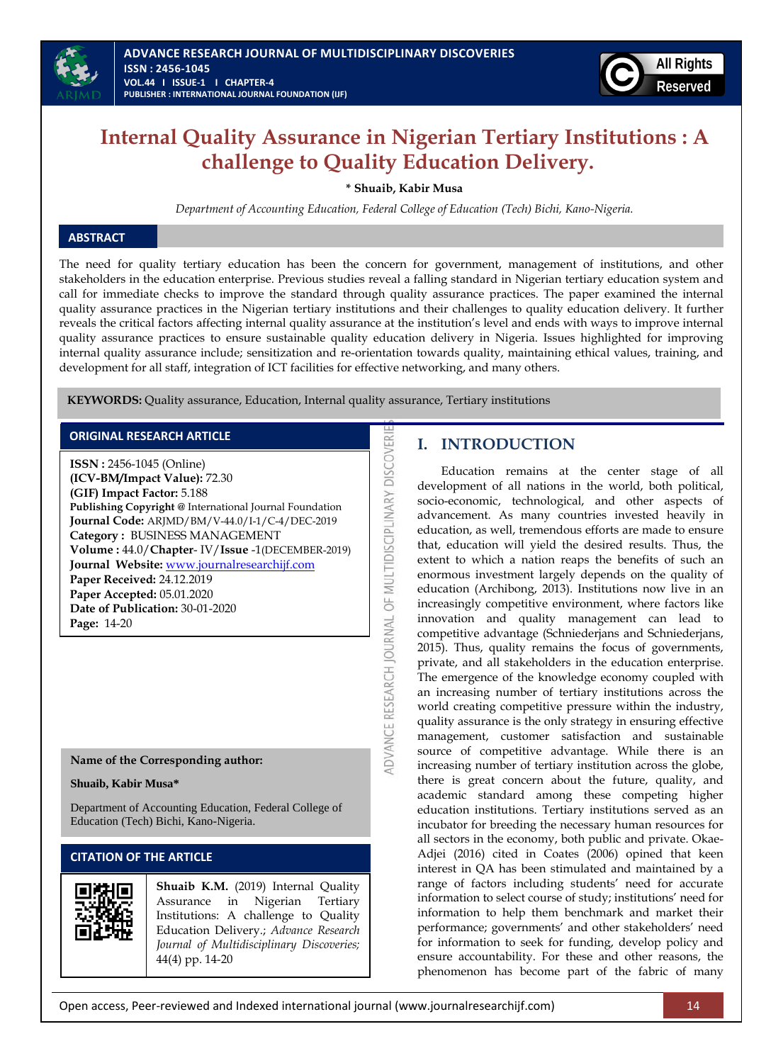

# **Internal Quality Assurance in Nigerian Tertiary Institutions : A challenge to Quality Education Delivery.**

**\* Shuaib, Kabir Musa** 

*Department of Accounting Education, Federal College of Education (Tech) Bichi, Kano-Nigeria.*

# **ABSTRACT**

The need for quality tertiary education has been the concern for government, management of institutions, and other stakeholders in the education enterprise. Previous studies reveal a falling standard in Nigerian tertiary education system and call for immediate checks to improve the standard through quality assurance practices. The paper examined the internal quality assurance practices in the Nigerian tertiary institutions and their challenges to quality education delivery. It further reveals the critical factors affecting internal quality assurance at the institution's level and ends with ways to improve internal quality assurance practices to ensure sustainable quality education delivery in Nigeria. Issues highlighted for improving internal quality assurance include; sensitization and re-orientation towards quality, maintaining ethical values, training, and development for all staff, integration of ICT facilities for effective networking, and many others.

ADVANCE RESEARCH JOURNAL OF MULTIDISCIPLINARY DISCOVER

**KEYWORDS:** Quality assurance, Education, Internal quality assurance, Tertiary institutions

## **ORIGINAL RESEARCH ARTICLE**

**ISSN :** 2456-1045 (Online) **(ICV-BM/Impact Value):** 72.30 **(GIF) Impact Factor:** 5.188 **Publishing Copyright @** International Journal Foundation **Journal Code:** ARJMD/BM/V-44.0/I-1/C-4/DEC-2019 **Category :** BUSINESS MANAGEMENT **Volume :** 44.0/**Chapter**- IV/**Issue** -1(DECEMBER-2019) **Journal Website:** [www.journalresearchijf.com](http://www.journalresearchijf.com/) **Paper Received:** 24.12.2019 **Paper Accepted:** 05.01.2020 **Date of Publication:** 30-01-2020 **Page:** 14-20

## **Name of the Corresponding author:**

**Shuaib, Kabir Musa\***

Department of Accounting Education, Federal College of Education (Tech) Bichi, Kano-Nigeria.

# **CITATION OF THE ARTICLE**



**Shuaib K.M.** (2019) Internal Quality Assurance in Nigerian Tertiary Institutions: A challenge to Quality Education Delivery.; *Advance Research Journal of Multidisciplinary Discoveries;* 44(4) pp. 14-20

# **I. INTRODUCTION**

Education remains at the center stage of all development of all nations in the world, both political, socio-economic, technological, and other aspects of advancement. As many countries invested heavily in education, as well, tremendous efforts are made to ensure that, education will yield the desired results. Thus, the extent to which a nation reaps the benefits of such an enormous investment largely depends on the quality of education (Archibong, 2013). Institutions now live in an increasingly competitive environment, where factors like innovation and quality management can lead to competitive advantage (Schniederjans and Schniederjans, 2015). Thus, quality remains the focus of governments, private, and all stakeholders in the education enterprise. The emergence of the knowledge economy coupled with an increasing number of tertiary institutions across the world creating competitive pressure within the industry, quality assurance is the only strategy in ensuring effective management, customer satisfaction and sustainable source of competitive advantage. While there is an increasing number of tertiary institution across the globe, there is great concern about the future, quality, and academic standard among these competing higher education institutions. Tertiary institutions served as an incubator for breeding the necessary human resources for all sectors in the economy, both public and private. Okae-Adjei (2016) cited in Coates (2006) opined that keen interest in QA has been stimulated and maintained by a range of factors including students' need for accurate information to select course of study; institutions' need for information to help them benchmark and market their performance; governments' and other stakeholders' need for information to seek for funding, develop policy and ensure accountability. For these and other reasons, the phenomenon has become part of the fabric of many

Open access, Peer-reviewed and Indexed international journal (www.journalresearchijf.com) 14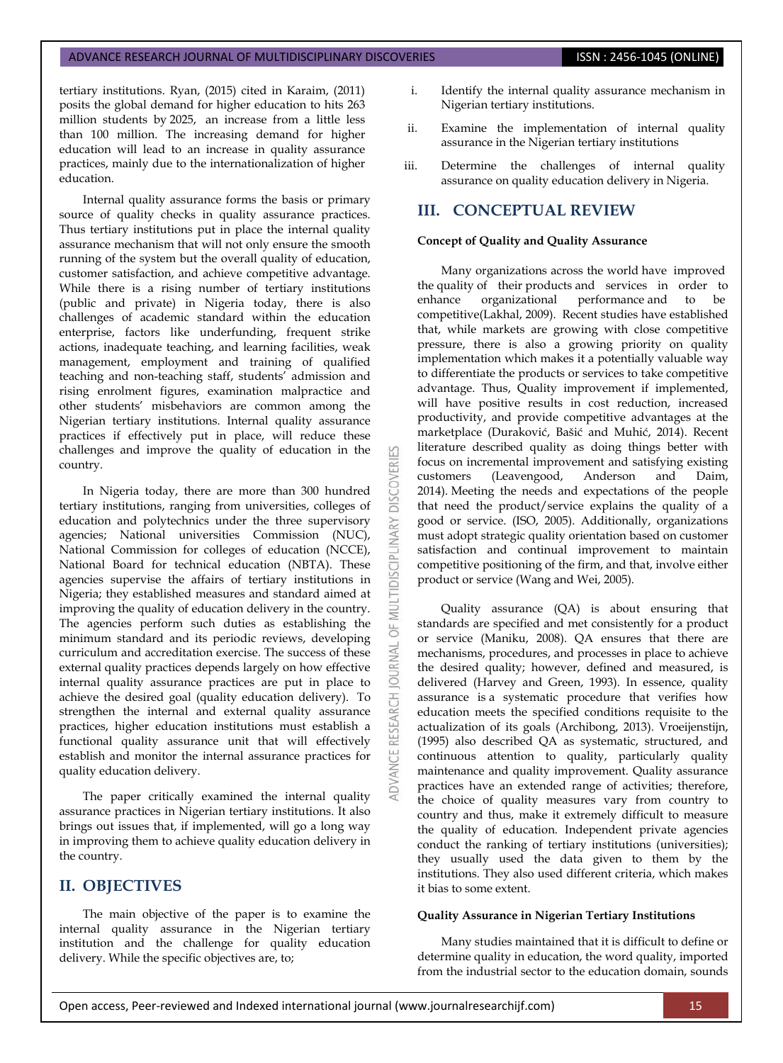tertiary institutions. Ryan, (2015) cited in Karaim, (2011) posits the global demand for higher education to hits 263 million students by 2025, an increase from a little less than 100 million. The increasing demand for higher education will lead to an increase in quality assurance practices, mainly due to the internationalization of higher education.

Internal quality assurance forms the basis or primary source of quality checks in quality assurance practices. Thus tertiary institutions put in place the internal quality assurance mechanism that will not only ensure the smooth running of the system but the overall quality of education, customer satisfaction, and achieve competitive advantage. While there is a rising number of tertiary institutions (public and private) in Nigeria today, there is also challenges of academic standard within the education enterprise, factors like underfunding, frequent strike actions, inadequate teaching, and learning facilities, weak management, employment and training of qualified teaching and non-teaching staff, students' admission and rising enrolment figures, examination malpractice and other students' misbehaviors are common among the Nigerian tertiary institutions. Internal quality assurance practices if effectively put in place, will reduce these challenges and improve the quality of education in the country.

In Nigeria today, there are more than 300 hundred tertiary institutions, ranging from universities, colleges of education and polytechnics under the three supervisory agencies; National universities Commission (NUC), National Commission for colleges of education (NCCE), National Board for technical education (NBTA). These agencies supervise the affairs of tertiary institutions in Nigeria; they established measures and standard aimed at improving the quality of education delivery in the country. The agencies perform such duties as establishing the minimum standard and its periodic reviews, developing curriculum and accreditation exercise. The success of these external quality practices depends largely on how effective internal quality assurance practices are put in place to achieve the desired goal (quality education delivery). To strengthen the internal and external quality assurance practices, higher education institutions must establish a functional quality assurance unit that will effectively establish and monitor the internal assurance practices for quality education delivery.

The paper critically examined the internal quality assurance practices in Nigerian tertiary institutions. It also brings out issues that, if implemented, will go a long way in improving them to achieve quality education delivery in the country.

# **II. OBJECTIVES**

The main objective of the paper is to examine the internal quality assurance in the Nigerian tertiary institution and the challenge for quality education delivery. While the specific objectives are, to;

- i. Identify the internal quality assurance mechanism in Nigerian tertiary institutions.
- ii. Examine the implementation of internal quality assurance in the Nigerian tertiary institutions
- iii. Determine the challenges of internal quality assurance on quality education delivery in Nigeria.

# **III. CONCEPTUAL REVIEW**

## **Concept of Quality and Quality Assurance**

53

**DISCOVERI** 

**IDISCIPLINARY** 

5 **JRNAL**  $\overline{0}$ 

Many organizations across the world have improved the quality of their products and services in order to enhance organizational performance and to be competitive(Lakhal, 2009). Recent studies have established that, while markets are growing with close competitive pressure, there is also a growing priority on quality implementation which makes it a potentially valuable way to differentiate the products or services to take competitive advantage. Thus, Quality improvement if implemented, will have positive results in cost reduction, increased productivity, and provide competitive advantages at the marketplace (Duraković, Bašić and Muhić, 2014). Recent literature described quality as doing things better with focus on incremental improvement and satisfying existing customers (Leavengood, Anderson and Daim, 2014). Meeting the needs and expectations of the people that need the product/service explains the quality of a good or service. (ISO, 2005). Additionally, organizations must adopt strategic quality orientation based on customer satisfaction and continual improvement to maintain competitive positioning of the firm, and that, involve either product or service (Wang and Wei, 2005).

Quality assurance (QA) is about ensuring that standards are specified and met consistently for a product or service (Maniku, 2008). QA ensures that there are mechanisms, procedures, and processes in place to achieve the desired quality; however, defined and measured, is delivered (Harvey and Green, 1993). In essence, quality assurance is a systematic procedure that verifies how education meets the specified conditions requisite to the actualization of its goals (Archibong, 2013). Vroeijenstijn, (1995) also described QA as systematic, structured, and continuous attention to quality, particularly quality maintenance and quality improvement. Quality assurance practices have an extended range of activities; therefore, the choice of quality measures vary from country to country and thus, make it extremely difficult to measure the quality of education. Independent private agencies conduct the ranking of tertiary institutions (universities); they usually used the data given to them by the institutions. They also used different criteria, which makes it bias to some extent.

# **Quality Assurance in Nigerian Tertiary Institutions**

Many studies maintained that it is difficult to define or determine quality in education, the word quality, imported from the industrial sector to the education domain, sounds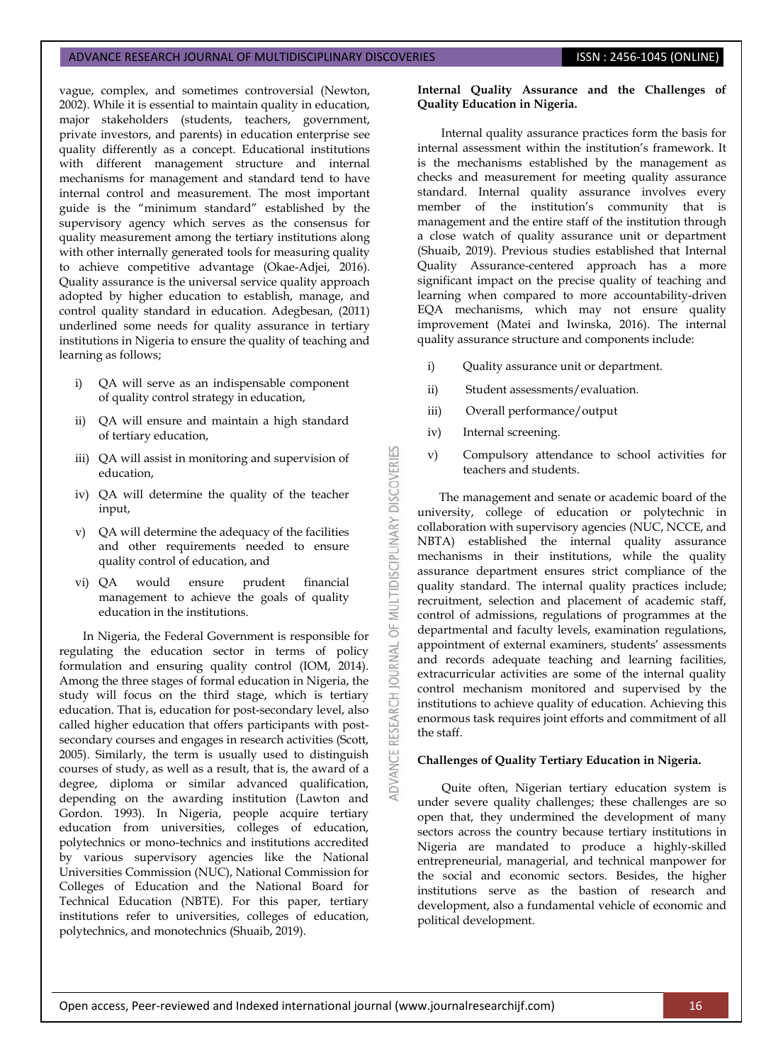#### ADVANCE RESEARCH JOURNAL OF MULTIDISCIPLINARY DISCOVERIES **ISSN : 2456-1045 (ONLINE)**

vague, complex, and sometimes controversial (Newton, 2002). While it is essential to maintain quality in education, major stakeholders (students, teachers, government, private investors, and parents) in education enterprise see quality differently as a concept. Educational institutions with different management structure and internal mechanisms for management and standard tend to have internal control and measurement. The most important guide is the "minimum standard" established by the supervisory agency which serves as the consensus for quality measurement among the tertiary institutions along with other internally generated tools for measuring quality to achieve competitive advantage (Okae-Adjei, 2016). Quality assurance is the universal service quality approach adopted by higher education to establish, manage, and control quality standard in education. Adegbesan, (2011) underlined some needs for quality assurance in tertiary institutions in Nigeria to ensure the quality of teaching and learning as follows;

- i) QA will serve as an indispensable component of quality control strategy in education,
- ii) QA will ensure and maintain a high standard of tertiary education,
- iii) QA will assist in monitoring and supervision of education,
- iv) QA will determine the quality of the teacher input,
- v) QA will determine the adequacy of the facilities and other requirements needed to ensure quality control of education, and
- vi) QA would ensure prudent financial management to achieve the goals of quality education in the institutions.

In Nigeria, the Federal Government is responsible for regulating the education sector in terms of policy formulation and ensuring quality control (IOM, 2014). Among the three stages of formal education in Nigeria, the study will focus on the third stage, which is tertiary education. That is, education for post-secondary level, also called higher education that offers participants with postsecondary courses and engages in research activities (Scott, 2005). Similarly, the term is usually used to distinguish courses of study, as well as a result, that is, the award of a degree, diploma or similar advanced qualification, depending on the awarding institution (Lawton and Gordon. 1993). In Nigeria, people acquire tertiary education from universities, colleges of education, polytechnics or mono-technics and institutions accredited by various supervisory agencies like the National Universities Commission (NUC), National Commission for Colleges of Education and the National Board for Technical Education (NBTE). For this paper, tertiary institutions refer to universities, colleges of education, polytechnics, and monotechnics (Shuaib, 2019).

# **Internal Quality Assurance and the Challenges of Quality Education in Nigeria.**

Internal quality assurance practices form the basis for internal assessment within the institution's framework. It is the mechanisms established by the management as checks and measurement for meeting quality assurance standard. Internal quality assurance involves every member of the institution's community that is management and the entire staff of the institution through a close watch of quality assurance unit or department (Shuaib, 2019). Previous studies established that Internal Quality Assurance-centered approach has a more significant impact on the precise quality of teaching and learning when compared to more accountability-driven EQA mechanisms, which may not ensure quality improvement (Matei and Iwinska, 2016). The internal quality assurance structure and components include:

- i) Quality assurance unit or department.
- ii) Student assessments/evaluation.
- iii) Overall performance/output
- iv) Internal screening.

MULTIDISCIPLINARY DISCOVERIES

 $\overline{5}$ **IRNAL** jo

RESEARCH

ADVANCE

v) Compulsory attendance to school activities for teachers and students.

 The management and senate or academic board of the university, college of education or polytechnic in collaboration with supervisory agencies (NUC, NCCE, and NBTA) established the internal quality assurance mechanisms in their institutions, while the quality assurance department ensures strict compliance of the quality standard. The internal quality practices include; recruitment, selection and placement of academic staff, control of admissions, regulations of programmes at the departmental and faculty levels, examination regulations, appointment of external examiners, students' assessments and records adequate teaching and learning facilities, extracurricular activities are some of the internal quality control mechanism monitored and supervised by the institutions to achieve quality of education. Achieving this enormous task requires joint efforts and commitment of all the staff.

## **Challenges of Quality Tertiary Education in Nigeria.**

Quite often, Nigerian tertiary education system is under severe quality challenges; these challenges are so open that, they undermined the development of many sectors across the country because tertiary institutions in Nigeria are mandated to produce a highly-skilled entrepreneurial, managerial, and technical manpower for the social and economic sectors. Besides, the higher institutions serve as the bastion of research and development, also a fundamental vehicle of economic and political development.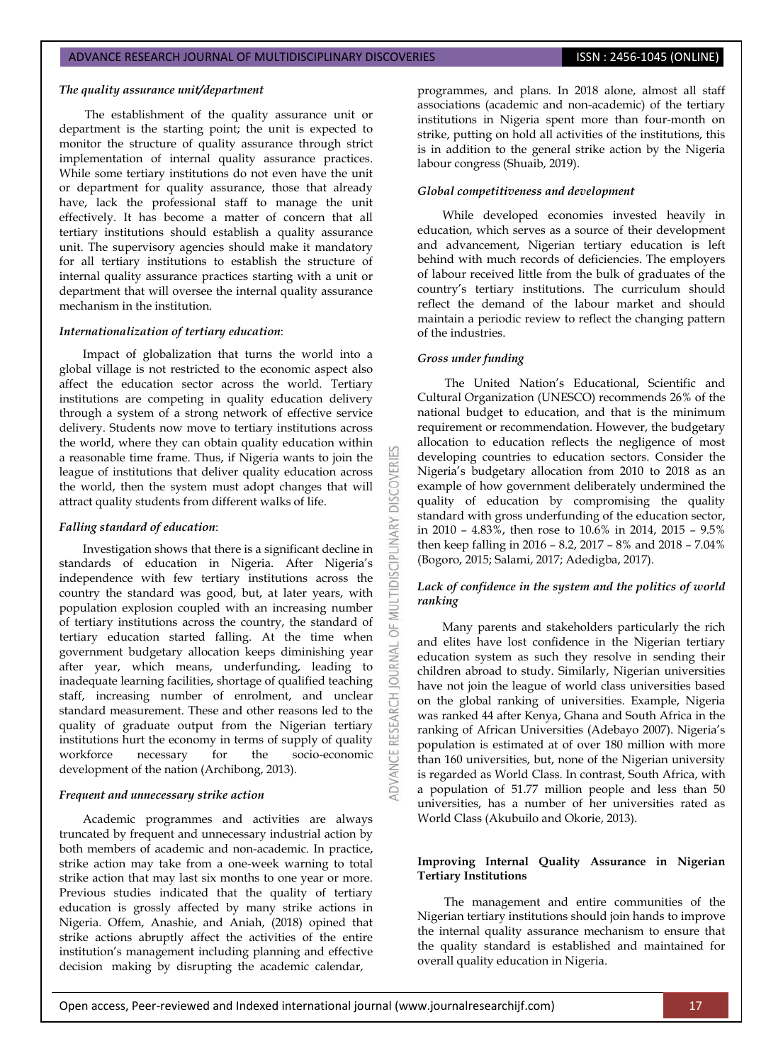#### *The quality assurance unit/department*

The establishment of the quality assurance unit or department is the starting point; the unit is expected to monitor the structure of quality assurance through strict implementation of internal quality assurance practices. While some tertiary institutions do not even have the unit or department for quality assurance, those that already have, lack the professional staff to manage the unit effectively. It has become a matter of concern that all tertiary institutions should establish a quality assurance unit. The supervisory agencies should make it mandatory for all tertiary institutions to establish the structure of internal quality assurance practices starting with a unit or department that will oversee the internal quality assurance mechanism in the institution.

#### *Internationalization of tertiary education*:

Impact of globalization that turns the world into a global village is not restricted to the economic aspect also affect the education sector across the world. Tertiary institutions are competing in quality education delivery through a system of a strong network of effective service delivery. Students now move to tertiary institutions across the world, where they can obtain quality education within a reasonable time frame. Thus, if Nigeria wants to join the league of institutions that deliver quality education across the world, then the system must adopt changes that will attract quality students from different walks of life.

#### *Falling standard of education*:

Investigation shows that there is a significant decline in standards of education in Nigeria. After Nigeria's independence with few tertiary institutions across the country the standard was good, but, at later years, with population explosion coupled with an increasing number of tertiary institutions across the country, the standard of tertiary education started falling. At the time when government budgetary allocation keeps diminishing year after year, which means, underfunding, leading to inadequate learning facilities, shortage of qualified teaching staff, increasing number of enrolment, and unclear standard measurement. These and other reasons led to the quality of graduate output from the Nigerian tertiary institutions hurt the economy in terms of supply of quality workforce necessary for the socio-economic development of the nation (Archibong, 2013).

#### *Frequent and unnecessary strike action*

Academic programmes and activities are always truncated by frequent and unnecessary industrial action by both members of academic and non-academic. In practice, strike action may take from a one-week warning to total strike action that may last six months to one year or more. Previous studies indicated that the quality of tertiary education is grossly affected by many strike actions in Nigeria. Offem, Anashie, and Aniah, (2018) opined that strike actions abruptly affect the activities of the entire institution's management including planning and effective decision making by disrupting the academic calendar,

programmes, and plans. In 2018 alone, almost all staff associations (academic and non-academic) of the tertiary institutions in Nigeria spent more than four-month on strike, putting on hold all activities of the institutions, this is in addition to the general strike action by the Nigeria labour congress (Shuaib, 2019).

## *Global competitiveness and development*

While developed economies invested heavily in education, which serves as a source of their development and advancement, Nigerian tertiary education is left behind with much records of deficiencies. The employers of labour received little from the bulk of graduates of the country's tertiary institutions. The curriculum should reflect the demand of the labour market and should maintain a periodic review to reflect the changing pattern of the industries.

## *Gross under funding*

**DISCOVERI** 

LTIDISCIPL

5

 $\overline{0}$ 

The United Nation's Educational, Scientific and Cultural Organization (UNESCO) recommends 26% of the national budget to education, and that is the minimum requirement or recommendation. However, the budgetary allocation to education reflects the negligence of most developing countries to education sectors. Consider the Nigeria's budgetary allocation from 2010 to 2018 as an example of how government deliberately undermined the quality of education by compromising the quality standard with gross underfunding of the education sector, in 2010 – 4.83%, then rose to 10.6% in 2014, 2015 – 9.5% then keep falling in 2016 – 8.2, 2017 – 8% and 2018 – 7.04% (Bogoro, 2015; Salami, 2017; Adedigba, 2017).

## *Lack of confidence in the system and the politics of world ranking*

Many parents and stakeholders particularly the rich and elites have lost confidence in the Nigerian tertiary education system as such they resolve in sending their children abroad to study. Similarly, Nigerian universities have not join the league of world class universities based on the global ranking of universities. Example, Nigeria was ranked 44 after Kenya, Ghana and South Africa in the ranking of African Universities (Adebayo 2007). Nigeria's population is estimated at of over 180 million with more than 160 universities, but, none of the Nigerian university is regarded as World Class. In contrast, South Africa, with a population of 51.77 million people and less than 50 universities, has a number of her universities rated as World Class (Akubuilo and Okorie, 2013).

#### **Improving Internal Quality Assurance in Nigerian Tertiary Institutions**

The management and entire communities of the Nigerian tertiary institutions should join hands to improve the internal quality assurance mechanism to ensure that the quality standard is established and maintained for overall quality education in Nigeria.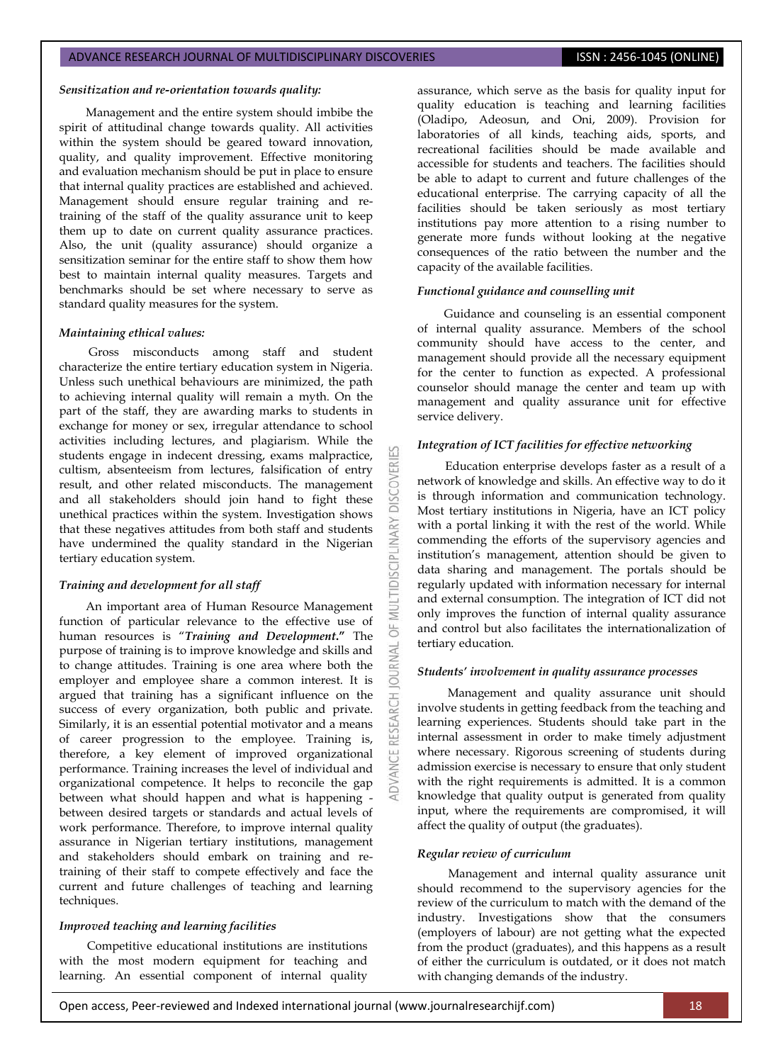## *Sensitization and re-orientation towards quality:*

Management and the entire system should imbibe the spirit of attitudinal change towards quality. All activities within the system should be geared toward innovation, quality, and quality improvement. Effective monitoring and evaluation mechanism should be put in place to ensure that internal quality practices are established and achieved. Management should ensure regular training and retraining of the staff of the quality assurance unit to keep them up to date on current quality assurance practices. Also, the unit (quality assurance) should organize a sensitization seminar for the entire staff to show them how best to maintain internal quality measures. Targets and benchmarks should be set where necessary to serve as standard quality measures for the system.

## *Maintaining ethical values:*

Gross misconducts among staff and student characterize the entire tertiary education system in Nigeria. Unless such unethical behaviours are minimized, the path to achieving internal quality will remain a myth. On the part of the staff, they are awarding marks to students in exchange for money or sex, irregular attendance to school activities including lectures, and plagiarism. While the students engage in indecent dressing, exams malpractice, cultism, absenteeism from lectures, falsification of entry result, and other related misconducts. The management and all stakeholders should join hand to fight these unethical practices within the system. Investigation shows that these negatives attitudes from both staff and students have undermined the quality standard in the Nigerian tertiary education system.

#### *Training and development for all staff*

An important area of Human Resource Management function of particular relevance to the effective use of human resources is "*Training and Development***."** The purpose of training is to improve knowledge and skills and to change attitudes. Training is one area where both the employer and employee share a common interest. It is argued that training has a significant influence on the success of every organization, both public and private. Similarly, it is an essential potential motivator and a means of career progression to the employee. Training is, therefore, a key element of improved organizational performance. Training increases the level of individual and organizational competence. It helps to reconcile the gap between what should happen and what is happening between desired targets or standards and actual levels of work performance. Therefore, to improve internal quality assurance in Nigerian tertiary institutions, management and stakeholders should embark on training and retraining of their staff to compete effectively and face the current and future challenges of teaching and learning techniques.

# *Improved teaching and learning facilities*

Competitive educational institutions are institutions with the most modern equipment for teaching and learning. An essential component of internal quality assurance, which serve as the basis for quality input for quality education is teaching and learning facilities (Oladipo, Adeosun, and Oni, 2009). Provision for laboratories of all kinds, teaching aids, sports, and recreational facilities should be made available and accessible for students and teachers. The facilities should be able to adapt to current and future challenges of the educational enterprise. The carrying capacity of all the facilities should be taken seriously as most tertiary institutions pay more attention to a rising number to generate more funds without looking at the negative consequences of the ratio between the number and the capacity of the available facilities.

#### *Functional guidance and counselling unit*

Guidance and counseling is an essential component of internal quality assurance. Members of the school community should have access to the center, and management should provide all the necessary equipment for the center to function as expected. A professional counselor should manage the center and team up with management and quality assurance unit for effective service delivery.

## *Integration of ICT facilities for effective networking*

**DISCOVERI** 

**DISCPL** 

5F **JRNAL**  $\overline{a}$ 

Education enterprise develops faster as a result of a network of knowledge and skills. An effective way to do it is through information and communication technology. Most tertiary institutions in Nigeria, have an ICT policy with a portal linking it with the rest of the world. While commending the efforts of the supervisory agencies and institution's management, attention should be given to data sharing and management. The portals should be regularly updated with information necessary for internal and external consumption. The integration of ICT did not only improves the function of internal quality assurance and control but also facilitates the internationalization of tertiary education.

#### *Students' involvement in quality assurance processes*

Management and quality assurance unit should involve students in getting feedback from the teaching and learning experiences. Students should take part in the internal assessment in order to make timely adjustment where necessary. Rigorous screening of students during admission exercise is necessary to ensure that only student with the right requirements is admitted. It is a common knowledge that quality output is generated from quality input, where the requirements are compromised, it will affect the quality of output (the graduates).

#### *Regular review of curriculum*

Management and internal quality assurance unit should recommend to the supervisory agencies for the review of the curriculum to match with the demand of the industry. Investigations show that the consumers (employers of labour) are not getting what the expected from the product (graduates), and this happens as a result of either the curriculum is outdated, or it does not match with changing demands of the industry.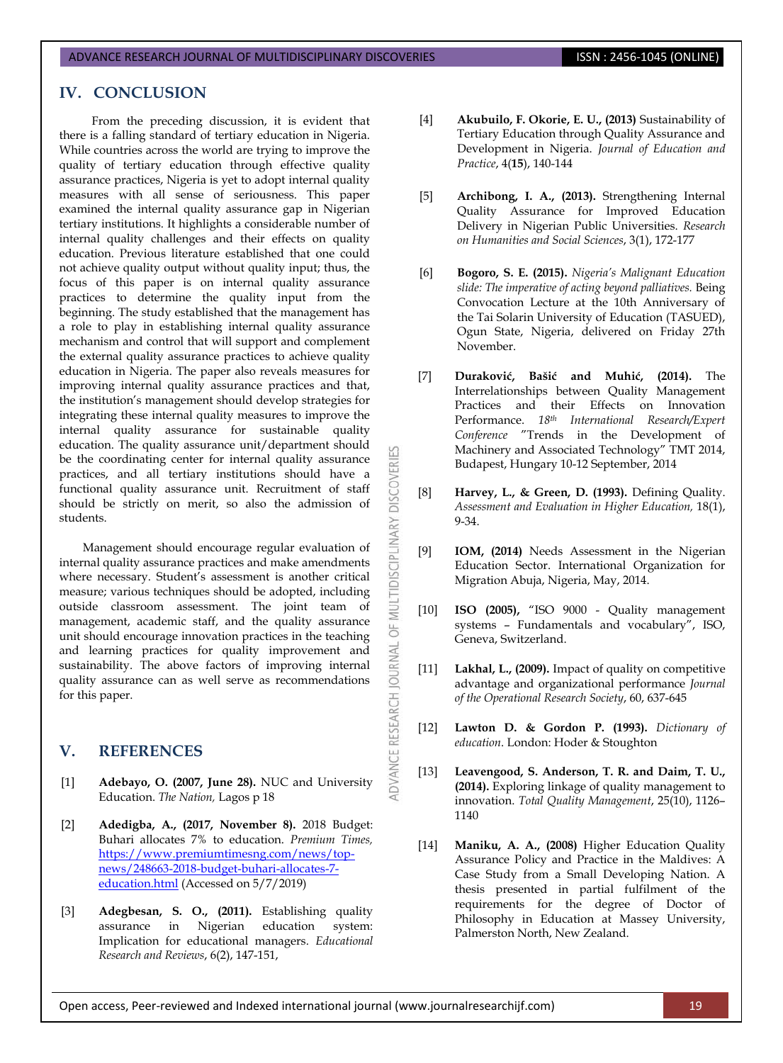# **IV. CONCLUSION**

From the preceding discussion, it is evident that there is a falling standard of tertiary education in Nigeria. While countries across the world are trying to improve the quality of tertiary education through effective quality assurance practices, Nigeria is yet to adopt internal quality measures with all sense of seriousness. This paper examined the internal quality assurance gap in Nigerian tertiary institutions. It highlights a considerable number of internal quality challenges and their effects on quality education. Previous literature established that one could not achieve quality output without quality input; thus, the focus of this paper is on internal quality assurance practices to determine the quality input from the beginning. The study established that the management has a role to play in establishing internal quality assurance mechanism and control that will support and complement the external quality assurance practices to achieve quality education in Nigeria. The paper also reveals measures for improving internal quality assurance practices and that, the institution's management should develop strategies for integrating these internal quality measures to improve the internal quality assurance for sustainable quality education. The quality assurance unit/department should be the coordinating center for internal quality assurance practices, and all tertiary institutions should have a functional quality assurance unit. Recruitment of staff should be strictly on merit, so also the admission of students.

Management should encourage regular evaluation of internal quality assurance practices and make amendments where necessary. Student's assessment is another critical measure; various techniques should be adopted, including outside classroom assessment. The joint team of management, academic staff, and the quality assurance unit should encourage innovation practices in the teaching and learning practices for quality improvement and sustainability. The above factors of improving internal quality assurance can as well serve as recommendations for this paper.

# **V. REFERENCES**

- [1] **Adebayo, O. (2007, June 28).** NUC and University Education. *The Nation,* Lagos p 18
- [2] **Adedigba, A., (2017, November 8).** 2018 Budget: Buhari allocates 7% to education. *Premium Times,* [https://www.premiumtimesng.com/news/top](https://www.premiumtimesng.com/news/top-news/248663-2018-budget-buhari-allocates-7-education.html)[news/248663-2018-budget-buhari-allocates-7](https://www.premiumtimesng.com/news/top-news/248663-2018-budget-buhari-allocates-7-education.html) [education.html](https://www.premiumtimesng.com/news/top-news/248663-2018-budget-buhari-allocates-7-education.html) (Accessed on 5/7/2019)
- [3] **Adegbesan, S. O., (2011).** Establishing quality assurance in Nigerian education system: Implication for educational managers. *Educational Research and Reviews*, 6(2), 147-151,
- [4] **Akubuilo, F. Okorie, E. U., (2013)** Sustainability of Tertiary Education through Quality Assurance and Development in Nigeria. *Journal of Education and Practice*, 4(**15**), 140-144
- [5] **Archibong, I. A., (2013).** Strengthening Internal Quality Assurance for Improved Education Delivery in Nigerian Public Universities. *Research on Humanities and Social Sciences*, 3(1), 172-177
- [6] **Bogoro, S. E. (2015).** *Nigeria's Malignant Education slide: The imperative of acting beyond palliatives.* Being Convocation Lecture at the 10th Anniversary of the Tai Solarin University of Education (TASUED), Ogun State, Nigeria, delivered on Friday 27th November.
- [7] **Duraković, Bašić and Muhić, (2014).** The Interrelationships between Quality Management Practices and their Effects on Innovation Performance. *18th International Research/Expert Conference* "Trends in the Development of Machinery and Associated Technology" TMT 2014, Budapest, Hungary 10-12 September, 2014
- [8] **Harvey, L., & Green, D. (1993).** Defining Quality. *Assessment and Evaluation in Higher Education,* 18(1), 9-34.

**DISCOVERI** 

MULTIDISCIPLINARY

5F

DVANCE RESEARCH JOURNAL

- [9] **IOM, (2014)** Needs Assessment in the Nigerian Education Sector. International Organization for Migration Abuja, Nigeria, May, 2014.
- [10] **ISO (2005),** "ISO 9000 Quality management systems – Fundamentals and vocabulary", ISO, Geneva, Switzerland.
- [11] **Lakhal, L., (2009).** Impact of quality on competitive advantage and organizational performance *Journal of the Operational Research Society*, 60, 637-645
- [12] **Lawton D. & Gordon P. (1993).** *Dictionary of education*. London: Hoder & Stoughton
- [13] **Leavengood, S. Anderson, T. R. and Daim, T. U., (2014).** Exploring linkage of quality management to innovation. *Total Quality Management*, 25(10), 1126– 1140
- [14] **Maniku, A. A., (2008)** Higher Education Quality Assurance Policy and Practice in the Maldives: A Case Study from a Small Developing Nation. A thesis presented in partial fulfilment of the requirements for the degree of Doctor of Philosophy in Education at Massey University, Palmerston North, New Zealand.